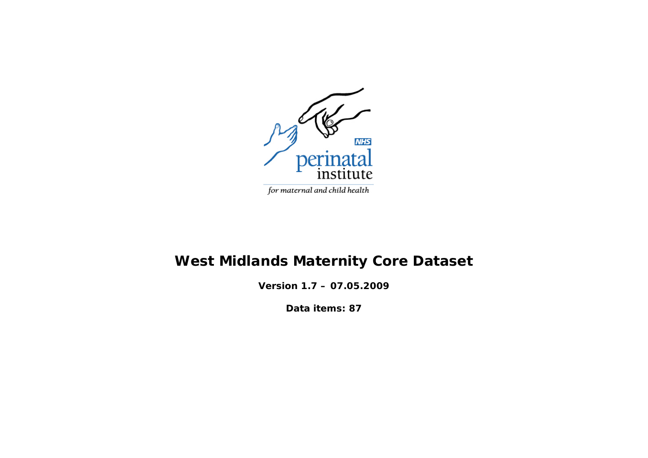

# **West Midlands Maternity Core Dataset**

**Version 1.7 – 07.05.2009** 

**Data items: 87**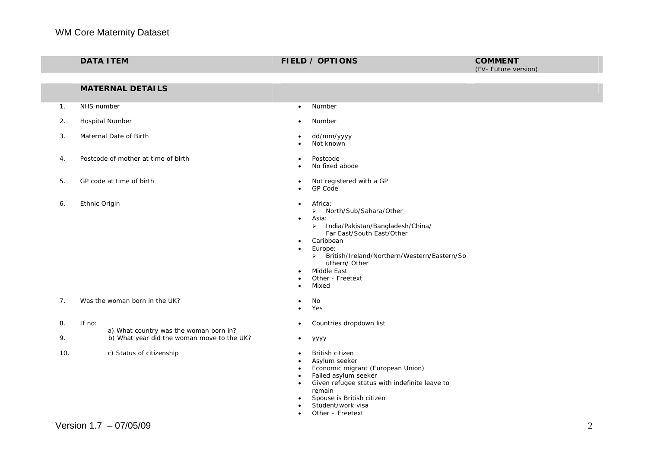|     | <b>DATA ITEM</b> |                                                                                      |                                                                                         | <b>FIELD / OPTIONS</b>                                                                                                                                                                                                                                | <b>COMMENT</b><br>(FV- Future version) |
|-----|------------------|--------------------------------------------------------------------------------------|-----------------------------------------------------------------------------------------|-------------------------------------------------------------------------------------------------------------------------------------------------------------------------------------------------------------------------------------------------------|----------------------------------------|
|     |                  |                                                                                      |                                                                                         |                                                                                                                                                                                                                                                       |                                        |
|     |                  | <b>MATERNAL DETAILS</b>                                                              |                                                                                         |                                                                                                                                                                                                                                                       |                                        |
| 1.  | NHS number       |                                                                                      | $\bullet$                                                                               | Number                                                                                                                                                                                                                                                |                                        |
| 2.  |                  | Hospital Number                                                                      |                                                                                         | Number                                                                                                                                                                                                                                                |                                        |
| 3.  |                  | Maternal Date of Birth                                                               | $\bullet$<br>$\bullet$                                                                  | dd/mm/yyyy<br>Not known                                                                                                                                                                                                                               |                                        |
| 4.  |                  | Postcode of mother at time of birth                                                  | ٠<br>$\bullet$                                                                          | Postcode<br>No fixed abode                                                                                                                                                                                                                            |                                        |
| 5.  |                  | GP code at time of birth                                                             | $\bullet$<br>$\bullet$                                                                  | Not registered with a GP<br>GP Code                                                                                                                                                                                                                   |                                        |
| 6.  | Ethnic Origin    |                                                                                      | $\bullet$<br>$\bullet$<br>$\bullet$<br>$\bullet$<br>$\bullet$<br>$\bullet$<br>$\bullet$ | Africa:<br>> North/Sub/Sahara/Other<br>Asia:<br>> India/Pakistan/Bangladesh/China/<br>Far East/South East/Other<br>Caribbean<br>Europe:<br>> British/Ireland/Northern/Western/Eastern/So<br>uthern/ Other<br>Middle East<br>Other - Freetext<br>Mixed |                                        |
| 7.  |                  | Was the woman born in the UK?                                                        | $\bullet$<br>$\bullet$                                                                  | No<br>Yes                                                                                                                                                                                                                                             |                                        |
| 8.  | If no:           |                                                                                      |                                                                                         | Countries dropdown list                                                                                                                                                                                                                               |                                        |
| 9.  |                  | a) What country was the woman born in?<br>b) What year did the woman move to the UK? | $\bullet$                                                                               | уууу                                                                                                                                                                                                                                                  |                                        |
| 10. |                  | c) Status of citizenship                                                             | $\bullet$<br>$\bullet$<br>$\bullet$<br>$\bullet$                                        | British citizen<br>Asylum seeker<br>Economic migrant (European Union)<br>Failed asylum seeker<br>Given refugee status with indefinite leave to<br>remain<br>Spouse is British citizen<br>Student/work visa<br>Other - Freetext                        |                                        |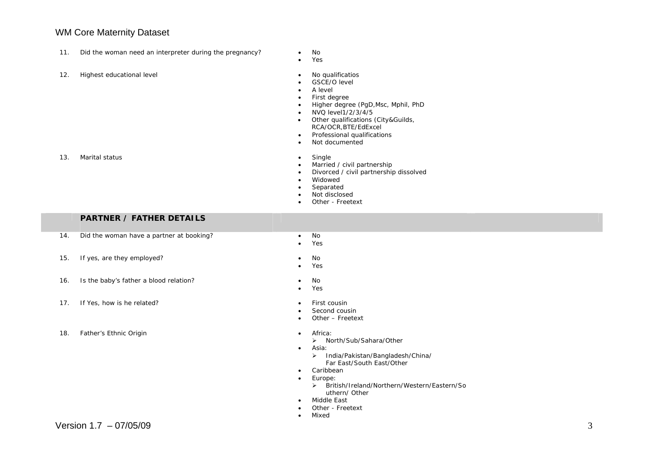- 11. Did the woman need an interpreter during the pregnancy? No
- 12. Highest educational level No qualificatios
- 
- • Yes
	-
	- •GSCE/O level
	- •A level
	- •First degree
	- •Higher degree (PgD,Msc, Mphil, PhD
	- •NVQ level1/2/3/4/5
	- • Other qualifications (City&Guilds, RCA/OCR,BTE/EdExcel
	- •Professional qualifications
	- •Not documented
- 13. Marital status • Single
	- •Married / civil partnership
	- •Divorced / civil partnership dissolved
	- •Widowed
	- •Separated
	- •Not disclosed
	- •Other - Freetext

#### **PARTNER / FATHER DETAILS**

- 14. Did the woman have a partner at booking? • No
- 15. If yes, are they employed? No was not a set of the set of the set of the set of the set of the set of the set of the set of the set of the set of the set of the set of the set of the set of the set of the set of the
- 16. Is the baby's father a blood relation? No
- 17. If Yes, how is he related? First cousin

18. Father's Ethnic Origin **Facture 18. In the State of Tana and Africa: •** Africa:

- •Yes
- 
- •Yes
- 
- •Yes
- 
- •Second cousin
- •Other – Freetext
- - ¾ North/Sub/Sahara/Other
- • Asia:
	- ¾ India/Pakistan/Bangladesh/China/ Far East/South East/Other
	-
- •Caribbean
- • Europe:
	- ¾ British/Ireland/Northern/Western/Eastern/So uthern/ Other
- • Middle East
	- Other Freetext
- •Mixed

•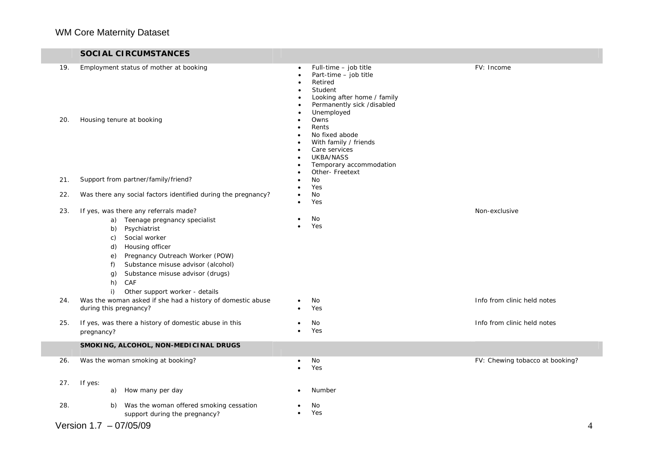#### **SOCIAL CIRCUMSTANCES**

| 19.<br>20. | Employment status of mother at booking<br>Housing tenure at booking                                                                                                                                                                                                                                                                   | Full-time - job title<br>Part-time - job title<br>Retired<br>Student<br>Looking after home / family<br>Permanently sick /disabled<br>Unemployed<br>Owns<br>$\bullet$<br>Rents<br>$\bullet$<br>No fixed abode<br>$\bullet$<br>With family / friends<br>Care services<br>$\bullet$<br>UKBA/NASS<br>Temporary accommodation<br>$\bullet$<br>Other- Freetext | FV: Income                      |
|------------|---------------------------------------------------------------------------------------------------------------------------------------------------------------------------------------------------------------------------------------------------------------------------------------------------------------------------------------|----------------------------------------------------------------------------------------------------------------------------------------------------------------------------------------------------------------------------------------------------------------------------------------------------------------------------------------------------------|---------------------------------|
| 21.        | Support from partner/family/friend?                                                                                                                                                                                                                                                                                                   | No<br>Yes                                                                                                                                                                                                                                                                                                                                                |                                 |
| 22.        | Was there any social factors identified during the pregnancy?                                                                                                                                                                                                                                                                         | No<br>$\bullet$<br>Yes<br>$\bullet$                                                                                                                                                                                                                                                                                                                      |                                 |
| 23.        | If yes, was there any referrals made?<br>a) Teenage pregnancy specialist<br>Psychiatrist<br>b)<br>Social worker<br>C)<br>Housing officer<br>d)<br>Pregnancy Outreach Worker (POW)<br>e)<br>Substance misuse advisor (alcohol)<br>$f$ )<br>Substance misuse advisor (drugs)<br>g)<br>h)<br>CAF<br>i)<br>Other support worker - details | No<br>$\bullet$<br>Yes<br>$\bullet$                                                                                                                                                                                                                                                                                                                      | Non-exclusive                   |
| 24.        | Was the woman asked if she had a history of domestic abuse<br>during this pregnancy?                                                                                                                                                                                                                                                  | No<br>Yes<br>$\bullet$                                                                                                                                                                                                                                                                                                                                   | Info from clinic held notes     |
| 25.        | If yes, was there a history of domestic abuse in this<br>pregnancy?                                                                                                                                                                                                                                                                   | No<br>$\bullet$<br>Yes<br>$\bullet$                                                                                                                                                                                                                                                                                                                      | Info from clinic held notes     |
|            | SMOKING, ALCOHOL, NON-MEDICINAL DRUGS                                                                                                                                                                                                                                                                                                 |                                                                                                                                                                                                                                                                                                                                                          |                                 |
| 26.        | Was the woman smoking at booking?                                                                                                                                                                                                                                                                                                     | No<br>$\bullet$<br>Yes<br>$\bullet$                                                                                                                                                                                                                                                                                                                      | FV: Chewing tobacco at booking? |
| 27.        | If yes:<br>How many per day<br>a)                                                                                                                                                                                                                                                                                                     | Number<br>$\bullet$                                                                                                                                                                                                                                                                                                                                      |                                 |
| 28.        | Was the woman offered smoking cessation<br>b)<br>support during the pregnancy?                                                                                                                                                                                                                                                        | No<br>Yes<br>$\bullet$                                                                                                                                                                                                                                                                                                                                   |                                 |
|            | Version $1.7 - 07/05/09$                                                                                                                                                                                                                                                                                                              |                                                                                                                                                                                                                                                                                                                                                          | 4                               |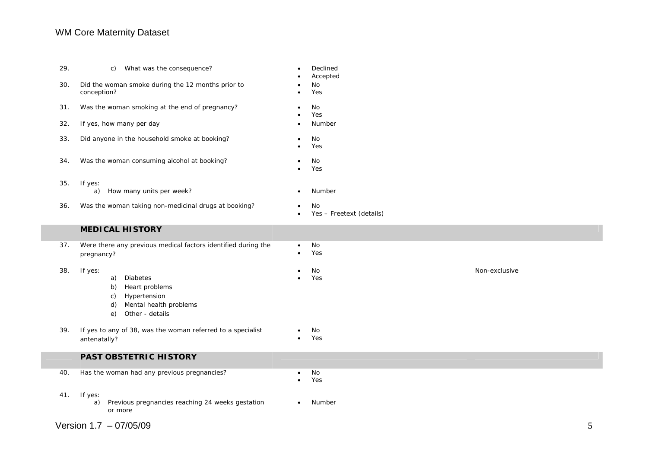| 29.                    | What was the consequence?<br>C)                                                                                                         | Declined<br>Accepted           |               |
|------------------------|-----------------------------------------------------------------------------------------------------------------------------------------|--------------------------------|---------------|
| 30.                    | Did the woman smoke during the 12 months prior to<br>conception?                                                                        | No<br>Yes                      |               |
| 31.                    | Was the woman smoking at the end of pregnancy?                                                                                          | No<br>Yes                      |               |
| 32.                    | If yes, how many per day                                                                                                                | Number                         |               |
| 33.                    | Did anyone in the household smoke at booking?                                                                                           | No<br>$\bullet$<br>Yes         |               |
| 34.                    | Was the woman consuming alcohol at booking?                                                                                             | No<br>Yes                      |               |
| 35.                    | If yes:<br>How many units per week?<br>a)                                                                                               | Number                         |               |
| 36.                    | Was the woman taking non-medicinal drugs at booking?                                                                                    | No<br>Yes - Freetext (details) |               |
|                        | <b>MEDICAL HISTORY</b>                                                                                                                  |                                |               |
| 37.                    | Were there any previous medical factors identified during the<br>pregnancy?                                                             | No<br>$\bullet$<br>Yes         |               |
| 38.                    | If yes:<br>a)<br><b>Diabetes</b><br>Heart problems<br>b)<br>Hypertension<br>C)<br>Mental health problems<br>d)<br>Other - details<br>e) | No<br>Yes                      | Non-exclusive |
| 39.                    | If yes to any of 38, was the woman referred to a specialist<br>antenatally?                                                             | No<br>Yes                      |               |
|                        | PAST OBSTETRIC HISTORY                                                                                                                  |                                |               |
| 40.                    | Has the woman had any previous pregnancies?                                                                                             | No<br>Yes                      |               |
| 41.                    | If yes:<br>Previous pregnancies reaching 24 weeks gestation<br>a)<br>or more                                                            | Number                         |               |
| Version 1.7 - 07/05/09 |                                                                                                                                         |                                |               |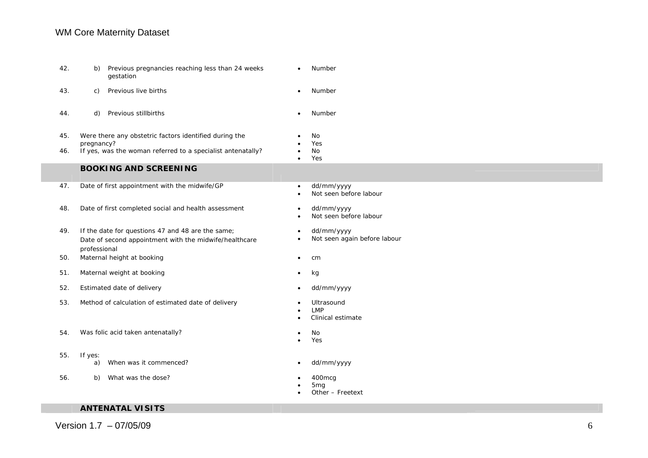| 42. | Previous pregnancies reaching less than 24 weeks<br>b)<br>gestation                                                         | Number<br>$\bullet$                                            |
|-----|-----------------------------------------------------------------------------------------------------------------------------|----------------------------------------------------------------|
| 43. | Previous live births<br>C)                                                                                                  | Number                                                         |
| 44. | Previous stillbirths<br>d)                                                                                                  | Number<br>$\bullet$                                            |
| 45. | Were there any obstetric factors identified during the<br>pregnancy?                                                        | No<br>Yes                                                      |
| 46. | If yes, was the woman referred to a specialist antenatally?                                                                 | No<br>Yes                                                      |
|     | <b>BOOKING AND SCREENING</b>                                                                                                |                                                                |
| 47. | Date of first appointment with the midwife/GP                                                                               | dd/mm/yyyy<br>$\bullet$<br>Not seen before labour              |
| 48. | Date of first completed social and health assessment                                                                        | dd/mm/yyyy<br>$\bullet$<br>Not seen before labour<br>$\bullet$ |
| 49. | If the date for questions 47 and 48 are the same;<br>Date of second appointment with the midwife/healthcare<br>professional | dd/mm/yyyy<br>Not seen again before labour                     |
| 50. | Maternal height at booking                                                                                                  | cm<br>٠                                                        |
| 51. | Maternal weight at booking                                                                                                  | kg<br>$\bullet$                                                |
| 52. | Estimated date of delivery                                                                                                  | dd/mm/yyyy<br>$\bullet$                                        |
| 53. | Method of calculation of estimated date of delivery                                                                         | Ultrasound<br><b>LMP</b><br>Clinical estimate                  |
| 54. | Was folic acid taken antenatally?                                                                                           | No<br>Yes                                                      |
| 55. | If yes:<br>When was it commenced?<br>a)                                                                                     | dd/mm/yyyy                                                     |
| 56. | What was the dose?<br>b)                                                                                                    | 400mcg<br>5 <sub>mg</sub><br>Other - Freetext                  |

#### **ANTENATAL VISITS**

Version  $1.7 - 07/05/09$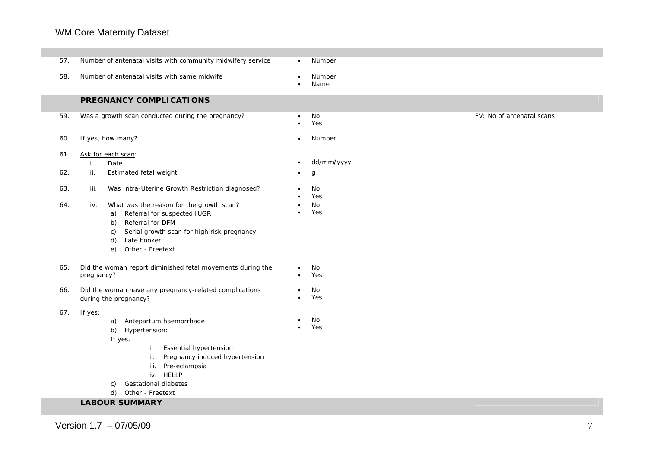| 57.        | Number of antenatal visits with community midwifery service                                                                                                                                                                                                                  | Number                                              |
|------------|------------------------------------------------------------------------------------------------------------------------------------------------------------------------------------------------------------------------------------------------------------------------------|-----------------------------------------------------|
| 58.        | Number of antenatal visits with same midwife                                                                                                                                                                                                                                 | Number<br>$\bullet$<br>Name                         |
|            | PREGNANCY COMPLICATIONS                                                                                                                                                                                                                                                      |                                                     |
| 59.        | Was a growth scan conducted during the pregnancy?                                                                                                                                                                                                                            | No<br>FV: No of antenatal scans<br>$\bullet$<br>Yes |
| 60.        | If yes, how many?                                                                                                                                                                                                                                                            | Number<br>$\bullet$                                 |
| 61.<br>62. | Ask for each scan:<br>Date<br>i.<br>ii.<br>Estimated fetal weight                                                                                                                                                                                                            | dd/mm/yyyy<br>$\bullet$<br>g                        |
| 63.<br>64. | Was Intra-Uterine Growth Restriction diagnosed?<br>iii.<br>What was the reason for the growth scan?<br>iv.<br>Referral for suspected IUGR<br>a)<br>Referral for DFM<br>b)<br>Serial growth scan for high risk pregnancy<br>C)<br>Late booker<br>d)<br>Other - Freetext<br>e) | No<br>Yes<br>No<br>٠<br>Yes                         |
| 65.        | Did the woman report diminished fetal movements during the<br>pregnancy?                                                                                                                                                                                                     | No<br>Yes<br>٠                                      |
| 66.        | Did the woman have any pregnancy-related complications<br>during the pregnancy?                                                                                                                                                                                              | No<br>$\bullet$<br>Yes                              |
| 67.        | If yes:<br>a) Antepartum haemorrhage<br>b) Hypertension:<br>If yes,<br>Essential hypertension<br>i.<br>Pregnancy induced hypertension<br>ii.<br>Pre-eclampsia<br>iii.<br>iv. HELLP<br>Gestational diabetes<br>C)<br>d) Other - Freetext                                      | No<br>Yes                                           |
|            | <b>LABOUR SUMMARY</b>                                                                                                                                                                                                                                                        |                                                     |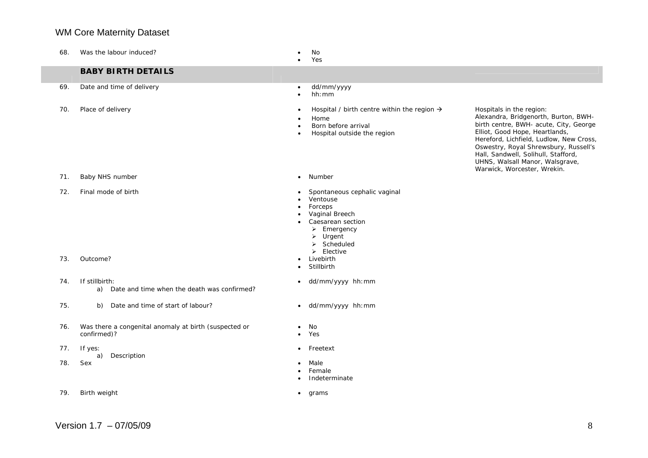| 68.        | Was the labour induced?                                              | No<br>Yes                                                                                                                                                                                                                                      |                                                                                                                                                                                                                                                                                                                                           |
|------------|----------------------------------------------------------------------|------------------------------------------------------------------------------------------------------------------------------------------------------------------------------------------------------------------------------------------------|-------------------------------------------------------------------------------------------------------------------------------------------------------------------------------------------------------------------------------------------------------------------------------------------------------------------------------------------|
|            | <b>BABY BIRTH DETAILS</b>                                            |                                                                                                                                                                                                                                                |                                                                                                                                                                                                                                                                                                                                           |
| 69.        | Date and time of delivery                                            | dd/mm/yyyy<br>٠<br>hh:mm<br>$\bullet$                                                                                                                                                                                                          |                                                                                                                                                                                                                                                                                                                                           |
| 70.        | Place of delivery                                                    | Hospital / birth centre within the region $\rightarrow$<br>$\bullet$<br>Home<br>Born before arrival<br>Hospital outside the region<br>$\bullet$                                                                                                | Hospitals in the region:<br>Alexandra, Bridgenorth, Burton, BWH-<br>birth centre, BWH- acute, City, George<br>Elliot, Good Hope, Heartlands,<br>Hereford, Lichfield, Ludlow, New Cross,<br>Oswestry, Royal Shrewsbury, Russell's<br>Hall, Sandwell, Solihull, Stafford,<br>UHNS, Walsall Manor, Walsgrave,<br>Warwick, Worcester, Wrekin. |
| 71.        | Baby NHS number                                                      | Number<br>$\bullet$                                                                                                                                                                                                                            |                                                                                                                                                                                                                                                                                                                                           |
| 72.<br>73. | Final mode of birth<br>Outcome?                                      | Spontaneous cephalic vaginal<br>Ventouse<br>Forceps<br>٠<br>Vaginal Breech<br>Caesarean section<br>$\triangleright$ Emergency<br>$\triangleright$ Urgent<br>$\triangleright$ Scheduled<br>$\triangleright$ Elective<br>Livebirth<br>Stillbirth |                                                                                                                                                                                                                                                                                                                                           |
| 74.        | If stillbirth:<br>Date and time when the death was confirmed?<br>a)  | dd/mm/yyyy hh: mm<br>$\bullet$                                                                                                                                                                                                                 |                                                                                                                                                                                                                                                                                                                                           |
| 75.        | Date and time of start of labour?<br>b)                              | dd/mm/yyyy hh:mm<br>$\bullet$                                                                                                                                                                                                                  |                                                                                                                                                                                                                                                                                                                                           |
| 76.        | Was there a congenital anomaly at birth (suspected or<br>confirmed)? | No<br>Yes<br>٠                                                                                                                                                                                                                                 |                                                                                                                                                                                                                                                                                                                                           |
| 77.        | If yes:<br>Description<br>a)                                         | Freetext<br>$\bullet$                                                                                                                                                                                                                          |                                                                                                                                                                                                                                                                                                                                           |
| 78.        | Sex                                                                  | Male<br>Female<br>Indeterminate<br>٠                                                                                                                                                                                                           |                                                                                                                                                                                                                                                                                                                                           |
| 79.        | Birth weight                                                         | grams<br>$\bullet$                                                                                                                                                                                                                             |                                                                                                                                                                                                                                                                                                                                           |